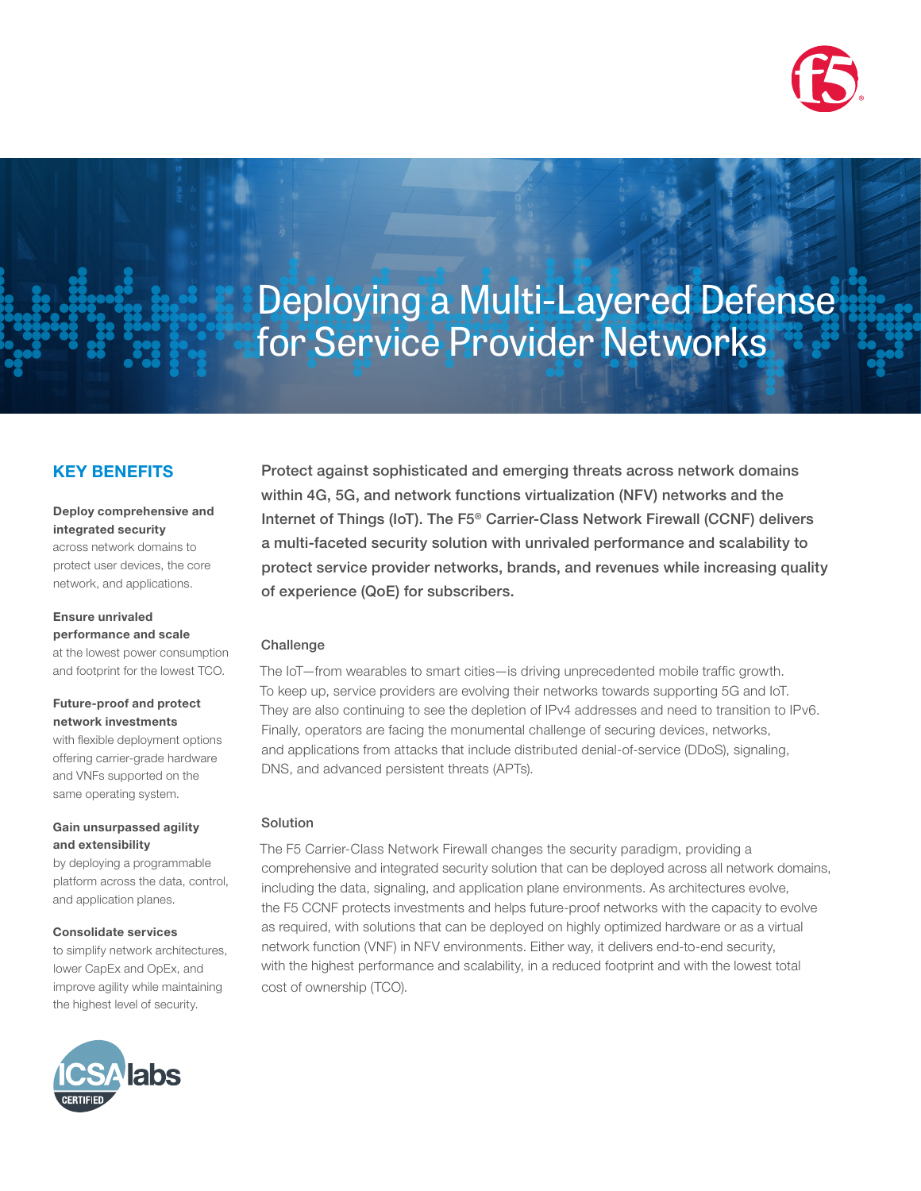

# Deploying a Multi-Layered Defense for Service Provider Networks

### KEY BENEFITS

#### Deploy comprehensive and integrated security

across network domains to protect user devices, the core network, and applications.

## Ensure unrivaled

performance and scale at the lowest power consumption and footprint for the lowest TCO.

#### Future-proof and protect network investments

with flexible deployment options offering carrier-grade hardware and VNFs supported on the same operating system.

#### Gain unsurpassed agility and extensibility

by deploying a programmable platform across the data, control, and application planes.

#### Consolidate services

to simplify network architectures, lower CapEx and OpEx, and improve agility while maintaining the highest level of security.



Protect against sophisticated and emerging threats across network domains within 4G, 5G, and network functions virtualization (NFV) networks and the Internet of Things (IoT). The F5® Carrier-Class Network Firewall (CCNF) delivers a multi-faceted security solution with unrivaled performance and scalability to protect service provider networks, brands, and revenues while increasing quality of experience (QoE) for subscribers.

#### Challenge

The IoT—from wearables to smart cities—is driving unprecedented mobile traffic growth. To keep up, service providers are evolving their networks towards supporting 5G and IoT. They are also continuing to see the depletion of IPv4 addresses and need to transition to IPv6. Finally, operators are facing the monumental challenge of securing devices, networks, and applications from attacks that include distributed denial-of-service (DDoS), signaling, DNS, and advanced persistent threats (APTs).

#### Solution

The F5 Carrier-Class Network Firewall changes the security paradigm, providing a comprehensive and integrated security solution that can be deployed across all network domains, including the data, signaling, and application plane environments. As architectures evolve, the F5 CCNF protects investments and helps future-proof networks with the capacity to evolve as required, with solutions that can be deployed on highly optimized hardware or as a virtual network function (VNF) in NFV environments. Either way, it delivers end-to-end security, with the highest performance and scalability, in a reduced footprint and with the lowest total cost of ownership (TCO).